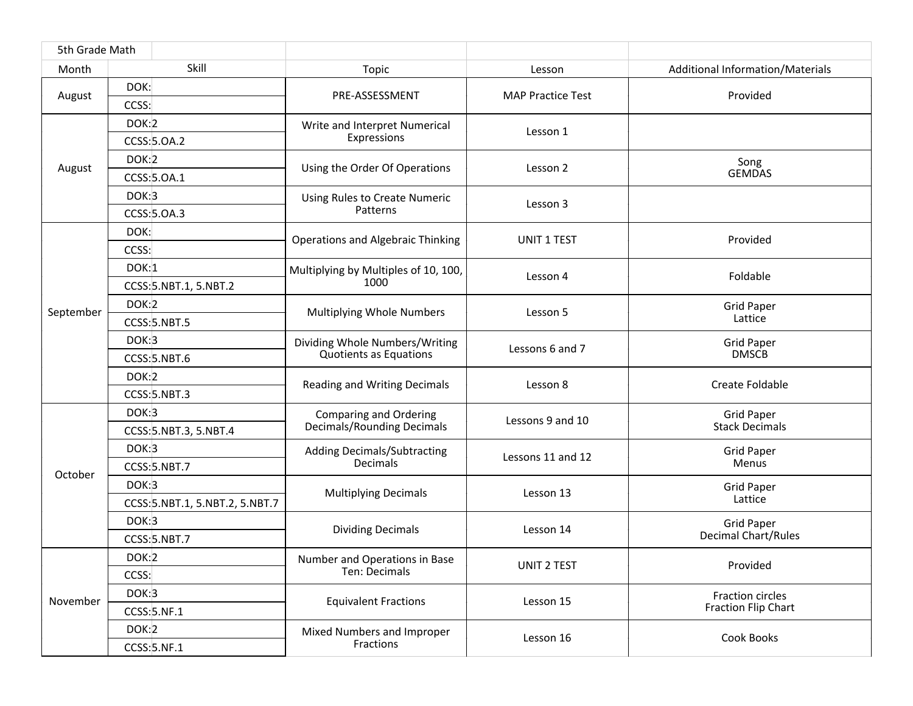| 5th Grade Math |                                 |                                                                    |                          |                                                |
|----------------|---------------------------------|--------------------------------------------------------------------|--------------------------|------------------------------------------------|
| Month          | Skill                           | Topic                                                              | Lesson                   | Additional Information/Materials               |
| August         | DOK:                            | PRE-ASSESSMENT                                                     | <b>MAP Practice Test</b> | Provided                                       |
|                | CCSS:                           |                                                                    |                          |                                                |
| August         | DOK:2                           | Write and Interpret Numerical<br>Expressions                       | Lesson 1                 |                                                |
|                | CCSS: 5.0A.2                    |                                                                    |                          |                                                |
|                | DOK:2                           | Using the Order Of Operations                                      | Lesson 2                 | Song                                           |
|                | CCSS: 5.0A.1                    |                                                                    |                          | <b>GEMDAS</b>                                  |
|                | DOK:3                           | Using Rules to Create Numeric<br>Patterns                          | Lesson 3                 |                                                |
|                | CCSS: 5.0A.3                    |                                                                    |                          |                                                |
| September      | DOK:                            | <b>Operations and Algebraic Thinking</b>                           | <b>UNIT 1 TEST</b>       | Provided                                       |
|                | CCSS:                           |                                                                    |                          |                                                |
|                | DOK:1                           | Multiplying by Multiples of 10, 100,<br>1000                       | Lesson 4                 | Foldable                                       |
|                | CCSS: 5.NBT.1, 5.NBT.2          |                                                                    |                          |                                                |
|                | DOK:2                           | Multiplying Whole Numbers                                          | Lesson 5                 | <b>Grid Paper</b><br>Lattice                   |
|                | CCSS: 5.NBT.5                   |                                                                    |                          |                                                |
|                | DOK:3                           | Dividing Whole Numbers/Writing<br><b>Quotients as Equations</b>    | Lessons 6 and 7          | <b>Grid Paper</b>                              |
|                | CCSS: 5.NBT.6                   |                                                                    |                          | <b>DMSCB</b>                                   |
|                | DOK:2                           | Reading and Writing Decimals                                       | Lesson 8                 | Create Foldable                                |
|                | CCSS: 5.NBT.3                   |                                                                    |                          |                                                |
| October        | DOK:3                           | <b>Comparing and Ordering</b><br><b>Decimals/Rounding Decimals</b> | Lessons 9 and 10         | <b>Grid Paper</b><br><b>Stack Decimals</b>     |
|                | CCSS: 5.NBT.3, 5.NBT.4          |                                                                    |                          |                                                |
|                | DOK:3                           | <b>Adding Decimals/Subtracting</b><br>Decimals                     | Lessons 11 and 12        | <b>Grid Paper</b><br>Menus                     |
|                | CCSS: 5.NBT.7                   |                                                                    |                          |                                                |
|                | DOK:3                           | <b>Multiplying Decimals</b>                                        | Lesson 13                | <b>Grid Paper</b>                              |
|                | CCSS: 5.NBT.1, 5.NBT.2, 5.NBT.7 |                                                                    |                          | Lattice                                        |
|                | DOK:3                           | <b>Dividing Decimals</b>                                           | Lesson 14                | <b>Grid Paper</b><br>Decimal Chart/Rules       |
|                | CCSS: 5.NBT.7                   |                                                                    |                          |                                                |
| November       | DOK:2                           | Number and Operations in Base<br>Ten: Decimals                     | UNIT 2 TEST              | Provided                                       |
|                | CCSS:                           |                                                                    |                          |                                                |
|                | DOK:3                           | <b>Equivalent Fractions</b>                                        | Lesson 15                | Fraction circles<br><b>Fraction Flip Chart</b> |
|                | CCSS: 5.NF.1                    |                                                                    |                          |                                                |
|                | DOK:2                           | Mixed Numbers and Improper<br>Fractions                            | Lesson 16                | Cook Books                                     |
|                | CCSS: 5.NF.1                    |                                                                    |                          |                                                |